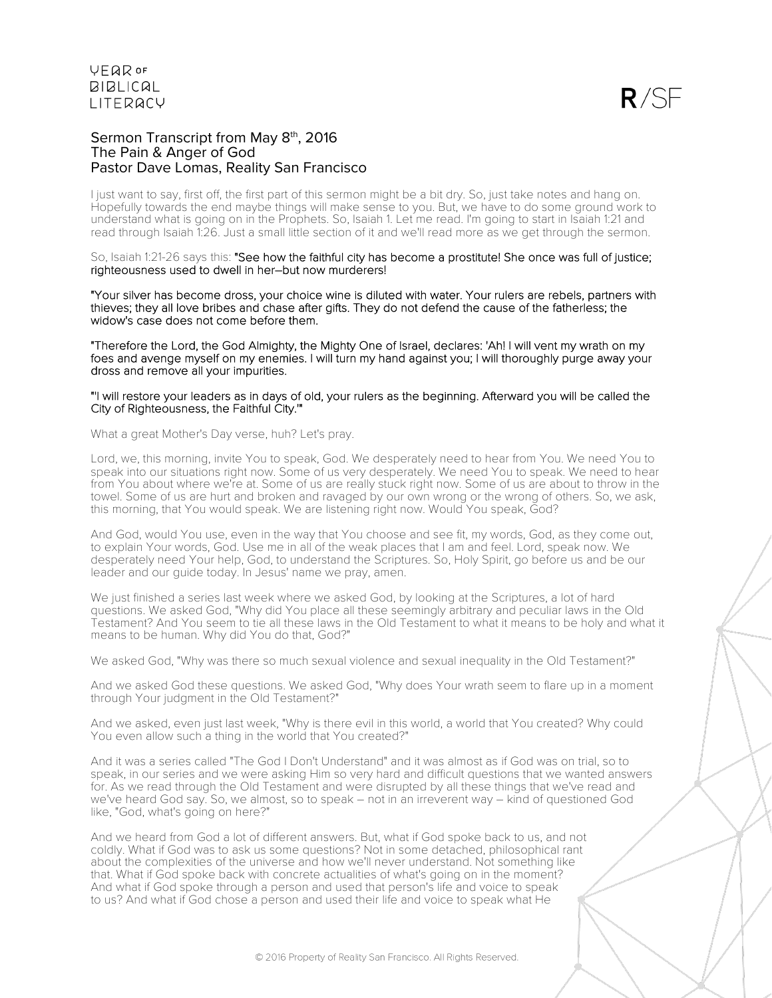$R/SF$ 

## Sermon Transcript from May 8<sup>th</sup>, 2016 The Pain & Anger of God Pastor Dave Lomas, Reality San Francisco

I just want to say, first off, the first part of this sermon might be a bit dry. So, just take notes and hang on. Hopefully towards the end maybe things will make sense to you. But, we have to do some ground work to understand what is going on in the Prophets. So, Isaiah 1. Let me read. I'm going to start in Isaiah 1:21 and read through Isaiah 1:26. Just a small little section of it and we'll read more as we get through the sermon.

So, Isaiah 1:21-26 says this: "See how the faithful city has become a prostitute! She once was full of justice; righteousness used to dwell in her–but now murderers!

"Your silver has become dross, your choice wine is diluted with water. Your rulers are rebels, partners with thieves; they all love bribes and chase after gifts. They do not defend the cause of the fatherless; the widow's case does not come before them.

"Therefore the Lord, the God Almighty, the Mighty One of Israel, declares: 'Ah! I will vent my wrath on my foes and avenge myself on my enemies. I will turn my hand against you; I will thoroughly purge away your dross and remove all your impurities.

"'I will restore your leaders as in days of old, your rulers as the beginning. Afterward you will be called the City of Righteousness, the Faithful City.'"

What a great Mother's Day verse, huh? Let's pray.

Lord, we, this morning, invite You to speak, God. We desperately need to hear from You. We need You to speak into our situations right now. Some of us very desperately. We need You to speak. We need to hear from You about where we're at. Some of us are really stuck right now. Some of us are about to throw in the towel. Some of us are hurt and broken and ravaged by our own wrong or the wrong of others. So, we ask, this morning, that You would speak. We are listening right now. Would You speak, God?

And God, would You use, even in the way that You choose and see fit, my words, God, as they come out, to explain Your words, God. Use me in all of the weak places that I am and feel. Lord, speak now. We desperately need Your help, God, to understand the Scriptures. So, Holy Spirit, go before us and be our leader and our guide today. In Jesus' name we pray, amen.

We just finished a series last week where we asked God, by looking at the Scriptures, a lot of hard questions. We asked God, "Why did You place all these seemingly arbitrary and peculiar laws in the Old Testament? And You seem to tie all these laws in the Old Testament to what it means to be holy and what it means to be human. Why did You do that, God?"

We asked God, "Why was there so much sexual violence and sexual inequality in the Old Testament?"

And we asked God these questions. We asked God, "Why does Your wrath seem to flare up in a moment through Your judgment in the Old Testament?"

And we asked, even just last week, "Why is there evil in this world, a world that You created? Why could You even allow such a thing in the world that You created?"

And it was a series called "The God I Don't Understand" and it was almost as if God was on trial, so to speak, in our series and we were asking Him so very hard and difficult questions that we wanted answers for. As we read through the Old Testament and were disrupted by all these things that we've read and we've heard God say. So, we almost, so to speak – not in an irreverent way – kind of questioned God like, "God, what's going on here?"

And we heard from God a lot of different answers. But, what if God spoke back to us, and not coldly. What if God was to ask us some questions? Not in some detached, philosophical rant about the complexities of the universe and how we'll never understand. Not something like that. What if God spoke back with concrete actualities of what's going on in the moment? And what if God spoke through a person and used that person's life and voice to speak to us? And what if God chose a person and used their life and voice to speak what He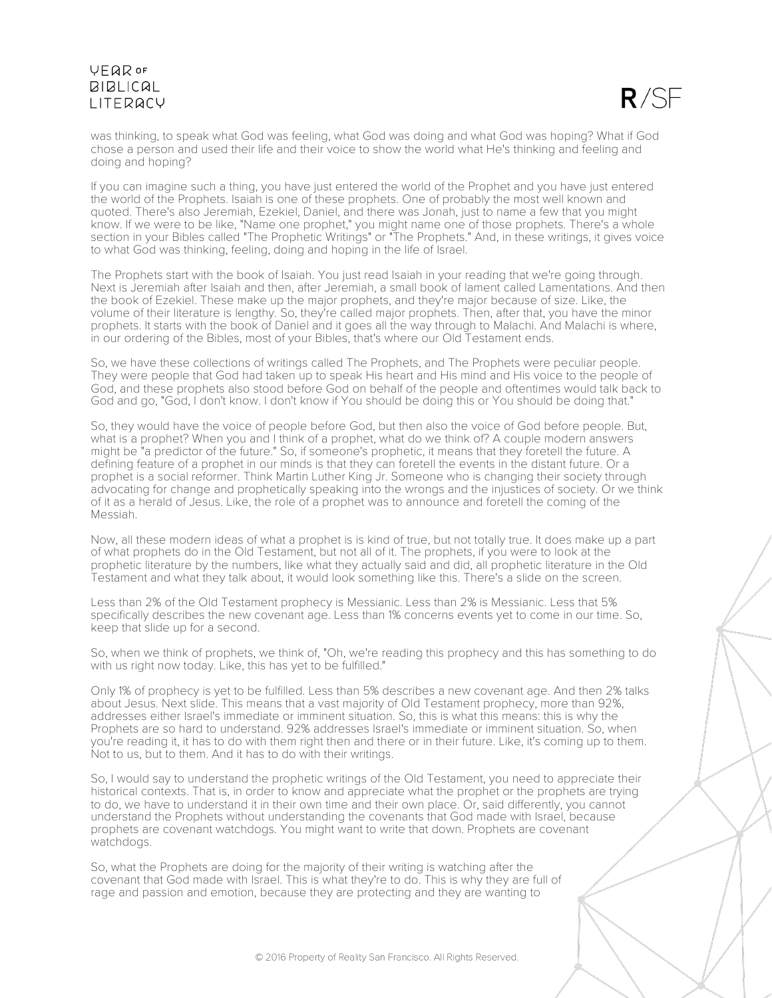

was thinking, to speak what God was feeling, what God was doing and what God was hoping? What if God chose a person and used their life and their voice to show the world what He's thinking and feeling and doing and hoping?

If you can imagine such a thing, you have just entered the world of the Prophet and you have just entered the world of the Prophets. Isaiah is one of these prophets. One of probably the most well known and quoted. There's also Jeremiah, Ezekiel, Daniel, and there was Jonah, just to name a few that you might know. If we were to be like, "Name one prophet," you might name one of those prophets. There's a whole section in your Bibles called "The Prophetic Writings" or "The Prophets." And, in these writings, it gives voice to what God was thinking, feeling, doing and hoping in the life of Israel.

The Prophets start with the book of Isaiah. You just read Isaiah in your reading that we're going through. Next is Jeremiah after Isaiah and then, after Jeremiah, a small book of lament called Lamentations. And then the book of Ezekiel. These make up the major prophets, and they're major because of size. Like, the volume of their literature is lengthy. So, they're called major prophets. Then, after that, you have the minor prophets. It starts with the book of Daniel and it goes all the way through to Malachi. And Malachi is where, in our ordering of the Bibles, most of your Bibles, that's where our Old Testament ends.

So, we have these collections of writings called The Prophets, and The Prophets were peculiar people. They were people that God had taken up to speak His heart and His mind and His voice to the people of God, and these prophets also stood before God on behalf of the people and oftentimes would talk back to God and go, "God, I don't know. I don't know if You should be doing this or You should be doing that."

So, they would have the voice of people before God, but then also the voice of God before people. But, what is a prophet? When you and I think of a prophet, what do we think of? A couple modern answers might be "a predictor of the future." So, if someone's prophetic, it means that they foretell the future. A defining feature of a prophet in our minds is that they can foretell the events in the distant future. Or a prophet is a social reformer. Think Martin Luther King Jr. Someone who is changing their society through advocating for change and prophetically speaking into the wrongs and the injustices of society. Or we think of it as a herald of Jesus. Like, the role of a prophet was to announce and foretell the coming of the Messiah.

Now, all these modern ideas of what a prophet is is kind of true, but not totally true. It does make up a part of what prophets do in the Old Testament, but not all of it. The prophets, if you were to look at the prophetic literature by the numbers, like what they actually said and did, all prophetic literature in the Old Testament and what they talk about, it would look something like this. There's a slide on the screen.

Less than 2% of the Old Testament prophecy is Messianic. Less than 2% is Messianic. Less that 5% specifically describes the new covenant age. Less than 1% concerns events yet to come in our time. So, keep that slide up for a second.

So, when we think of prophets, we think of, "Oh, we're reading this prophecy and this has something to do with us right now today. Like, this has yet to be fulfilled."

Only 1% of prophecy is yet to be fulfilled. Less than 5% describes a new covenant age. And then 2% talks about Jesus. Next slide. This means that a vast majority of Old Testament prophecy, more than 92%, addresses either Israel's immediate or imminent situation. So, this is what this means: this is why the Prophets are so hard to understand. 92% addresses Israel's immediate or imminent situation. So, when you're reading it, it has to do with them right then and there or in their future. Like, it's coming up to them. Not to us, but to them. And it has to do with their writings.

So, I would say to understand the prophetic writings of the Old Testament, you need to appreciate their historical contexts. That is, in order to know and appreciate what the prophet or the prophets are trying to do, we have to understand it in their own time and their own place. Or, said differently, you cannot understand the Prophets without understanding the covenants that God made with Israel, because prophets are covenant watchdogs. You might want to write that down. Prophets are covenant watchdogs.

So, what the Prophets are doing for the majority of their writing is watching after the covenant that God made with Israel. This is what they're to do. This is why they are full of rage and passion and emotion, because they are protecting and they are wanting to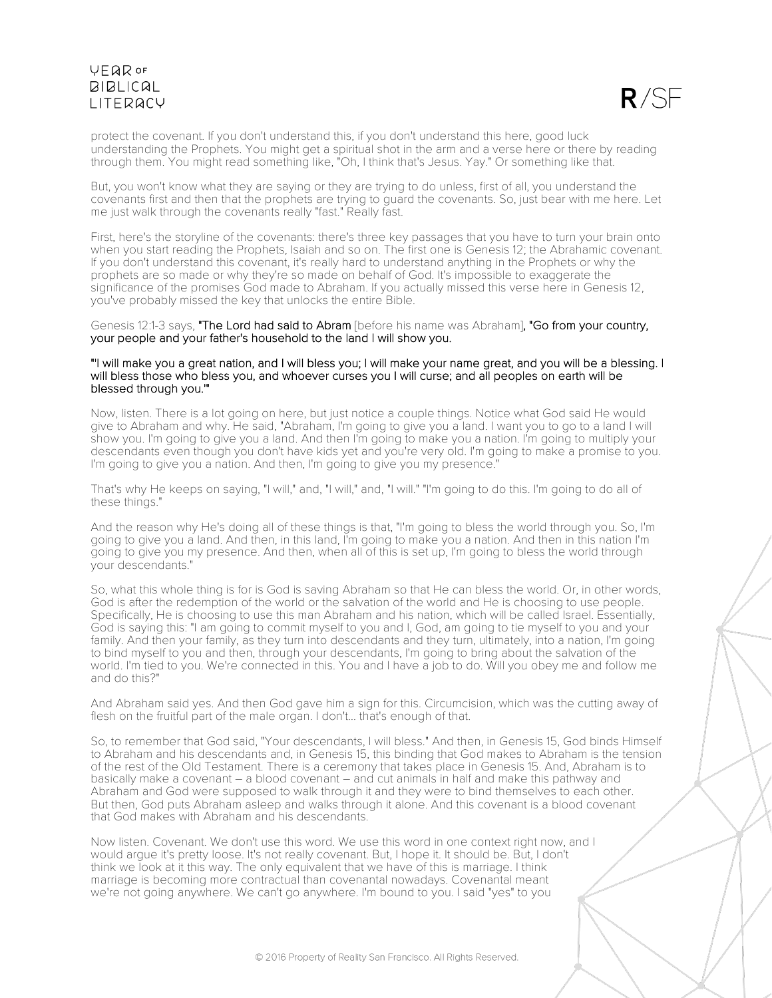$R/SF$ 

protect the covenant. If you don't understand this, if you don't understand this here, good luck understanding the Prophets. You might get a spiritual shot in the arm and a verse here or there by reading through them. You might read something like, "Oh, I think that's Jesus. Yay." Or something like that.

But, you won't know what they are saying or they are trying to do unless, first of all, you understand the covenants first and then that the prophets are trying to guard the covenants. So, just bear with me here. Let me just walk through the covenants really "fast." Really fast.

First, here's the storyline of the covenants: there's three key passages that you have to turn your brain onto when you start reading the Prophets, Isaiah and so on. The first one is Genesis 12; the Abrahamic covenant. If you don't understand this covenant, it's really hard to understand anything in the Prophets or why the prophets are so made or why they're so made on behalf of God. It's impossible to exaggerate the significance of the promises God made to Abraham. If you actually missed this verse here in Genesis 12, you've probably missed the key that unlocks the entire Bible.

Genesis 12:1-3 says, "The Lord had said to Abram [before his name was Abraham], "Go from your country, your people and your father's household to the land I will show you.

#### "'I will make you a great nation, and I will bless you; I will make your name great, and you will be a blessing. I will bless those who bless you, and whoever curses you I will curse; and all peoples on earth will be blessed through you.'"

Now, listen. There is a lot going on here, but just notice a couple things. Notice what God said He would give to Abraham and why. He said, "Abraham, I'm going to give you a land. I want you to go to a land I will show you. I'm going to give you a land. And then I'm going to make you a nation. I'm going to multiply your descendants even though you don't have kids yet and you're very old. I'm going to make a promise to you. I'm going to give you a nation. And then, I'm going to give you my presence."

That's why He keeps on saying, "I will," and, "I will," and, "I will." "I'm going to do this. I'm going to do all of these things."

And the reason why He's doing all of these things is that, "I'm going to bless the world through you. So, I'm going to give you a land. And then, in this land, I'm going to make you a nation. And then in this nation I'm going to give you my presence. And then, when all of this is set up, I'm going to bless the world through your descendants."

So, what this whole thing is for is God is saving Abraham so that He can bless the world. Or, in other words, God is after the redemption of the world or the salvation of the world and He is choosing to use people. Specifically, He is choosing to use this man Abraham and his nation, which will be called Israel. Essentially, God is saying this: "I am going to commit myself to you and I, God, am going to tie myself to you and your family. And then your family, as they turn into descendants and they turn, ultimately, into a nation, I'm going to bind myself to you and then, through your descendants, I'm going to bring about the salvation of the world. I'm tied to you. We're connected in this. You and I have a job to do. Will you obey me and follow me and do this?"

And Abraham said yes. And then God gave him a sign for this. Circumcision, which was the cutting away of flesh on the fruitful part of the male organ. I don't... that's enough of that.

So, to remember that God said, "Your descendants, I will bless." And then, in Genesis 15, God binds Himself to Abraham and his descendants and, in Genesis 15, this binding that God makes to Abraham is the tension of the rest of the Old Testament. There is a ceremony that takes place in Genesis 15. And, Abraham is to basically make a covenant – a blood covenant – and cut animals in half and make this pathway and Abraham and God were supposed to walk through it and they were to bind themselves to each other. But then, God puts Abraham asleep and walks through it alone. And this covenant is a blood covenant that God makes with Abraham and his descendants.

Now listen. Covenant. We don't use this word. We use this word in one context right now, and I would argue it's pretty loose. It's not really covenant. But, I hope it. It should be. But, I don't think we look at it this way. The only equivalent that we have of this is marriage. I think marriage is becoming more contractual than covenantal nowadays. Covenantal meant we're not going anywhere. We can't go anywhere. I'm bound to you. I said "yes" to you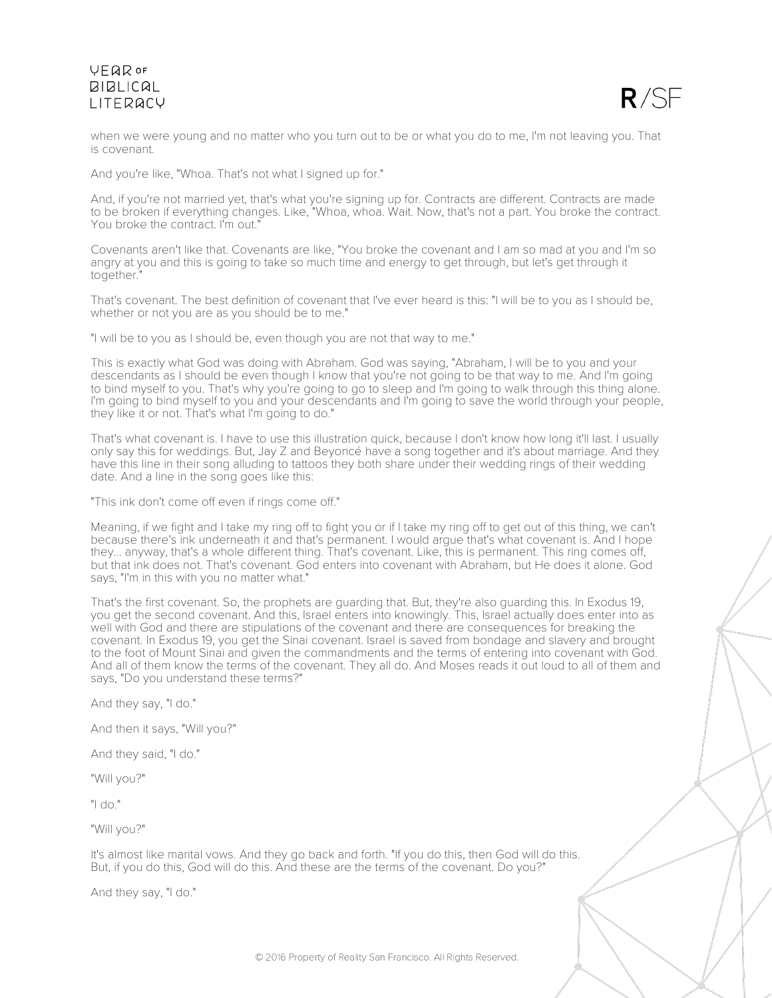

when we were young and no matter who you turn out to be or what you do to me, I'm not leaving you. That is covenant.

And you're like, "Whoa. That's not what I signed up for."

And, if you're not married yet, that's what you're signing up for. Contracts are different. Contracts are made to be broken if everything changes. Like, "Whoa, whoa. Wait. Now, that's not a part. You broke the contract. You broke the contract. I'm out.'

Covenants aren't like that. Covenants are like, "You broke the covenant and I am so mad at you and I'm so angry at you and this is going to take so much time and energy to get through, but let's get through it together."

That's covenant. The best definition of covenant that I've ever heard is this: "I will be to you as I should be, whether or not you are as you should be to me."

"I will be to you as I should be, even though you are not that way to me."

This is exactly what God was doing with Abraham. God was saying, "Abraham, I will be to you and your descendants as I should be even though I know that you're not going to be that way to me. And I'm going to bind myself to you. That's why you're going to go to sleep and I'm going to walk through this thing alone. I'm going to bind myself to you and your descendants and I'm going to save the world through your people, they like it or not. That's what I'm going to do."

That's what covenant is. I have to use this illustration quick, because I don't know how long it'll last. I usually only say this for weddings. But, Jay Z and Beyoncé have a song together and it's about marriage. And they have this line in their song alluding to tattoos they both share under their wedding rings of their wedding date. And a line in the song goes like this:

"This ink don't come off even if rings come off."

Meaning, if we fight and I take my ring off to fight you or if I take my ring off to get out of this thing, we can't because there's ink underneath it and that's permanent. I would argue that's what covenant is. And I hope they... anyway, that's a whole different thing. That's covenant. Like, this is permanent. This ring comes off, but that ink does not. That's covenant. God enters into covenant with Abraham, but He does it alone. God says, "I'm in this with you no matter what."

That's the first covenant. So, the prophets are guarding that. But, they're also guarding this. In Exodus 19, you get the second covenant. And this, Israel enters into knowingly. This, Israel actually does enter into as well with God and there are stipulations of the covenant and there are consequences for breaking the covenant. In Exodus 19, you get the Sinai covenant. Israel is saved from bondage and slavery and brought to the foot of Mount Sinai and given the commandments and the terms of entering into covenant with God. And all of them know the terms of the covenant. They all do. And Moses reads it out loud to all of them and says, "Do you understand these terms?"

And they say, "I do."

And then it says, "Will you?"

And they said, "I do."

"Will you?"

"I do."

"Will you?"

It's almost like marital vows. And they go back and forth. "If you do this, then God will do this. But, if you do this, God will do this. And these are the terms of the covenant. Do you?"

And they say, "I do."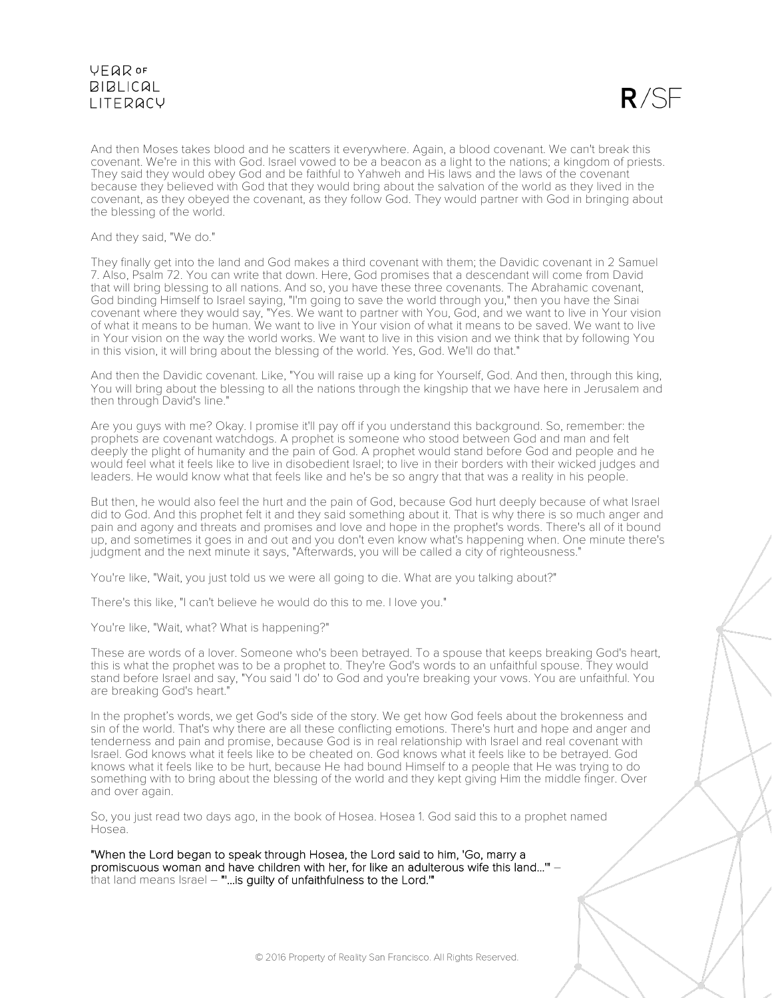

And then Moses takes blood and he scatters it everywhere. Again, a blood covenant. We can't break this covenant. We're in this with God. Israel vowed to be a beacon as a light to the nations; a kingdom of priests. They said they would obey God and be faithful to Yahweh and His laws and the laws of the covenant because they believed with God that they would bring about the salvation of the world as they lived in the covenant, as they obeyed the covenant, as they follow God. They would partner with God in bringing about the blessing of the world.

And they said, "We do."

They finally get into the land and God makes a third covenant with them; the Davidic covenant in 2 Samuel 7. Also, Psalm 72. You can write that down. Here, God promises that a descendant will come from David that will bring blessing to all nations. And so, you have these three covenants. The Abrahamic covenant, God binding Himself to Israel saying, "I'm going to save the world through you," then you have the Sinai covenant where they would say, "Yes. We want to partner with You, God, and we want to live in Your vision of what it means to be human. We want to live in Your vision of what it means to be saved. We want to live in Your vision on the way the world works. We want to live in this vision and we think that by following You in this vision, it will bring about the blessing of the world. Yes, God. We'll do that."

And then the Davidic covenant. Like, "You will raise up a king for Yourself, God. And then, through this king, You will bring about the blessing to all the nations through the kingship that we have here in Jerusalem and then through David's line."

Are you guys with me? Okay. I promise it'll pay off if you understand this background. So, remember: the prophets are covenant watchdogs. A prophet is someone who stood between God and man and felt deeply the plight of humanity and the pain of God. A prophet would stand before God and people and he would feel what it feels like to live in disobedient Israel; to live in their borders with their wicked judges and leaders. He would know what that feels like and he's be so angry that that was a reality in his people.

But then, he would also feel the hurt and the pain of God, because God hurt deeply because of what Israel did to God. And this prophet felt it and they said something about it. That is why there is so much anger and pain and agony and threats and promises and love and hope in the prophet's words. There's all of it bound up, and sometimes it goes in and out and you don't even know what's happening when. One minute there's judgment and the next minute it says, "Afterwards, you will be called a city of righteousness."

You're like, "Wait, you just told us we were all going to die. What are you talking about?"

There's this like, "I can't believe he would do this to me. I love you."

You're like, "Wait, what? What is happening?"

These are words of a lover. Someone who's been betrayed. To a spouse that keeps breaking God's heart, this is what the prophet was to be a prophet to. They're God's words to an unfaithful spouse. They would stand before Israel and say, "You said 'I do' to God and you're breaking your vows. You are unfaithful. You are breaking God's heart.

In the prophet's words, we get God's side of the story. We get how God feels about the brokenness and sin of the world. That's why there are all these conflicting emotions. There's hurt and hope and anger and tenderness and pain and promise, because God is in real relationship with Israel and real covenant with Israel. God knows what it feels like to be cheated on. God knows what it feels like to be betrayed. God knows what it feels like to be hurt, because He had bound Himself to a people that He was trying to do something with to bring about the blessing of the world and they kept giving Him the middle finger. Over and over again.

So, you just read two days ago, in the book of Hosea. Hosea 1. God said this to a prophet named Hosea.

"When the Lord began to speak through Hosea, the Lord said to him, 'Go, marry a promiscuous woman and have children with her, for like an adulterous wife this land...'" – that land means Israel - "...is guilty of unfaithfulness to the Lord."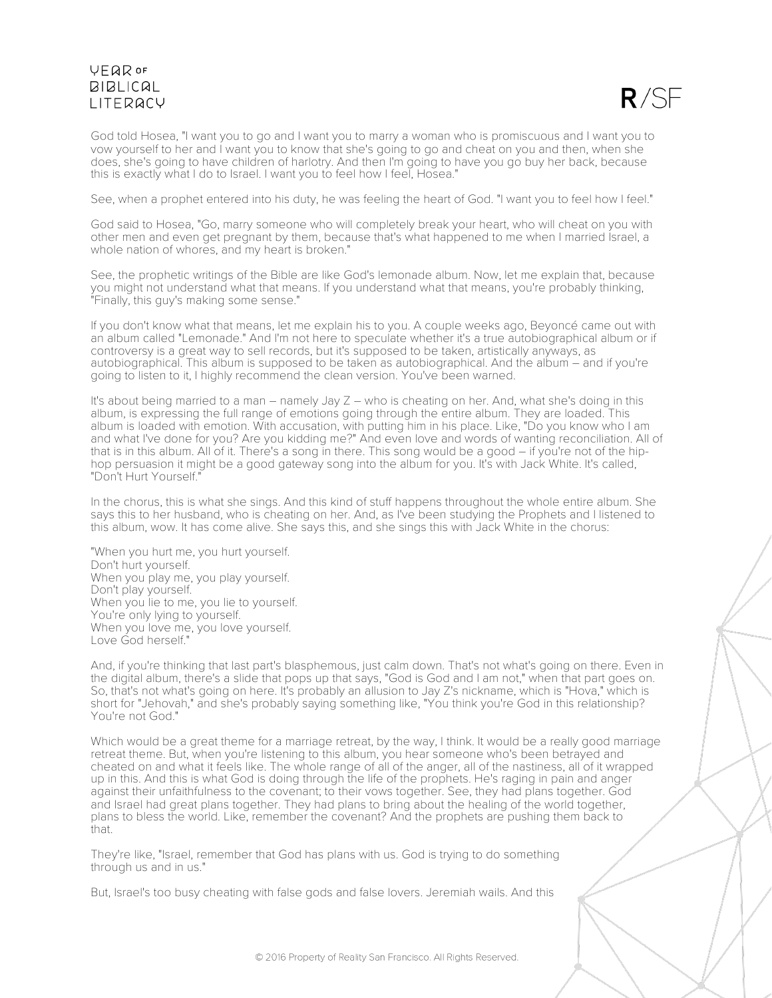

God told Hosea, "I want you to go and I want you to marry a woman who is promiscuous and I want you to vow yourself to her and I want you to know that she's going to go and cheat on you and then, when she does, she's going to have children of harlotry. And then I'm going to have you go buy her back, because this is exactly what I do to Israel. I want you to feel how I feel, Hosea."

See, when a prophet entered into his duty, he was feeling the heart of God. "I want you to feel how I feel."

God said to Hosea, "Go, marry someone who will completely break your heart, who will cheat on you with other men and even get pregnant by them, because that's what happened to me when I married Israel, a whole nation of whores, and my heart is broken."

See, the prophetic writings of the Bible are like God's lemonade album. Now, let me explain that, because you might not understand what that means. If you understand what that means, you're probably thinking, "Finally, this guy's making some sense."

If you don't know what that means, let me explain his to you. A couple weeks ago, Beyoncé came out with an album called "Lemonade." And I'm not here to speculate whether it's a true autobiographical album or if controversy is a great way to sell records, but it's supposed to be taken, artistically anyways, as autobiographical. This album is supposed to be taken as autobiographical. And the album – and if you're going to listen to it, I highly recommend the clean version. You've been warned.

It's about being married to a man – namely Jay Z – who is cheating on her. And, what she's doing in this album, is expressing the full range of emotions going through the entire album. They are loaded. This album is loaded with emotion. With accusation, with putting him in his place. Like, "Do you know who I am and what I've done for you? Are you kidding me?" And even love and words of wanting reconciliation. All of that is in this album. All of it. There's a song in there. This song would be a good – if you're not of the hiphop persuasion it might be a good gateway song into the album for you. It's with Jack White. It's called, "Don't Hurt Yourself."

In the chorus, this is what she sings. And this kind of stuff happens throughout the whole entire album. She says this to her husband, who is cheating on her. And, as I've been studying the Prophets and I listened to this album, wow. It has come alive. She says this, and she sings this with Jack White in the chorus:

"When you hurt me, you hurt yourself. Don't hurt yourself. When you play me, you play yourself. Don't play yourself. When you lie to me, you lie to yourself. You're only lying to yourself. When you love me, you love yourself. Love God herself."

And, if you're thinking that last part's blasphemous, just calm down. That's not what's going on there. Even in the digital album, there's a slide that pops up that says, "God is God and I am not," when that part goes on. So, that's not what's going on here. It's probably an allusion to Jay Z's nickname, which is "Hova," which is short for "Jehovah," and she's probably saying something like, "You think you're God in this relationship? You're not God."

Which would be a great theme for a marriage retreat, by the way, I think. It would be a really good marriage retreat theme. But, when you're listening to this album, you hear someone who's been betrayed and cheated on and what it feels like. The whole range of all of the anger, all of the nastiness, all of it wrapped up in this. And this is what God is doing through the life of the prophets. He's raging in pain and anger against their unfaithfulness to the covenant; to their vows together. See, they had plans together. God and Israel had great plans together. They had plans to bring about the healing of the world together, plans to bless the world. Like, remember the covenant? And the prophets are pushing them back to that.

They're like, "Israel, remember that God has plans with us. God is trying to do something through us and in us."

But, Israel's too busy cheating with false gods and false lovers. Jeremiah wails. And this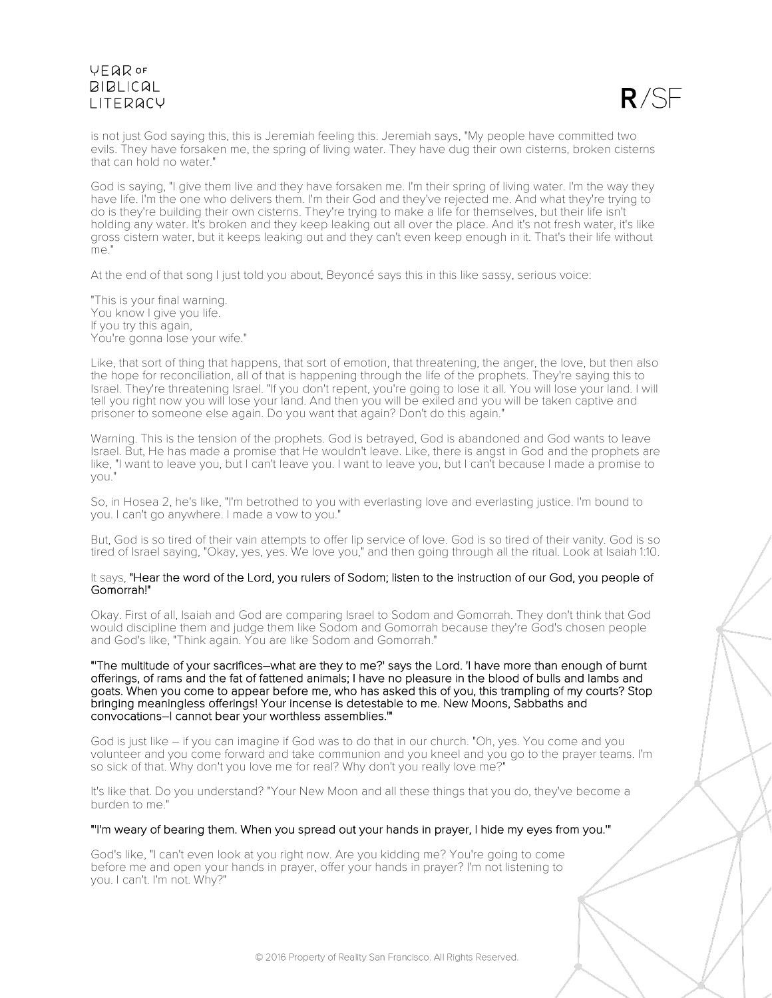

is not just God saying this, this is Jeremiah feeling this. Jeremiah says, "My people have committed two evils. They have forsaken me, the spring of living water. They have dug their own cisterns, broken cisterns that can hold no water."

God is saying, "I give them live and they have forsaken me. I'm their spring of living water. I'm the way they have life. I'm the one who delivers them. I'm their God and they've rejected me. And what they're trying to do is they're building their own cisterns. They're trying to make a life for themselves, but their life isn't holding any water. It's broken and they keep leaking out all over the place. And it's not fresh water, it's like gross cistern water, but it keeps leaking out and they can't even keep enough in it. That's their life without me."

At the end of that song I just told you about, Beyoncé says this in this like sassy, serious voice:

"This is your final warning. You know I give you life. If you try this again, You're gonna lose your wife."

Like, that sort of thing that happens, that sort of emotion, that threatening, the anger, the love, but then also the hope for reconciliation, all of that is happening through the life of the prophets. They're saying this to Israel. They're threatening Israel. "If you don't repent, you're going to lose it all. You will lose your land. I will tell you right now you will lose your land. And then you will be exiled and you will be taken captive and prisoner to someone else again. Do you want that again? Don't do this again."

Warning. This is the tension of the prophets. God is betrayed, God is abandoned and God wants to leave Israel. But, He has made a promise that He wouldn't leave. Like, there is angst in God and the prophets are like, "I want to leave you, but I can't leave you. I want to leave you, but I can't because I made a promise to you."

So, in Hosea 2, he's like, "I'm betrothed to you with everlasting love and everlasting justice. I'm bound to you. I can't go anywhere. I made a vow to you."

But, God is so tired of their vain attempts to offer lip service of love. God is so tired of their vanity. God is so tired of Israel saying, "Okay, yes, yes. We love you," and then going through all the ritual. Look at Isaiah 1:10.

#### It says, "Hear the word of the Lord, you rulers of Sodom; listen to the instruction of our God, you people of Gomorrah!"

Okay. First of all, Isaiah and God are comparing Israel to Sodom and Gomorrah. They don't think that God would discipline them and judge them like Sodom and Gomorrah because they're God's chosen people and God's like, "Think again. You are like Sodom and Gomorrah."

"'The multitude of your sacrifices–what are they to me?' says the Lord. 'I have more than enough of burnt offerings, of rams and the fat of fattened animals; I have no pleasure in the blood of bulls and lambs and goats. When you come to appear before me, who has asked this of you, this trampling of my courts? Stop bringing meaningless offerings! Your incense is detestable to me. New Moons, Sabbaths and convocations–I cannot bear your worthless assemblies.'"

God is just like – if you can imagine if God was to do that in our church. "Oh, yes. You come and you volunteer and you come forward and take communion and you kneel and you go to the prayer teams. I'm so sick of that. Why don't you love me for real? Why don't you really love me?"

It's like that. Do you understand? "Your New Moon and all these things that you do, they've become a burden to me."

#### "'I'm weary of bearing them. When you spread out your hands in prayer, I hide my eyes from you.'"

God's like, "I can't even look at you right now. Are you kidding me? You're going to come before me and open your hands in prayer, offer your hands in prayer? I'm not listening to you. I can't. I'm not. Why?"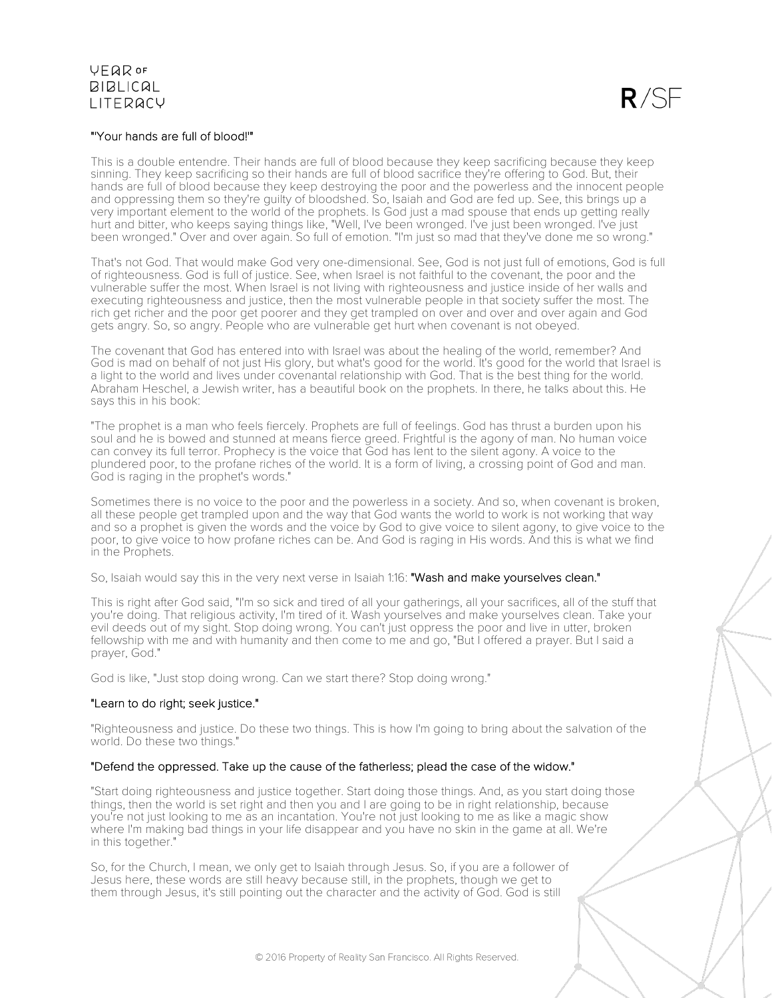

#### "'Your hands are full of blood!'"

This is a double entendre. Their hands are full of blood because they keep sacrificing because they keep sinning. They keep sacrificing so their hands are full of blood sacrifice they're offering to God. But, their hands are full of blood because they keep destroying the poor and the powerless and the innocent people and oppressing them so they're guilty of bloodshed. So, Isaiah and God are fed up. See, this brings up a very important element to the world of the prophets. Is God just a mad spouse that ends up getting really hurt and bitter, who keeps saying things like, "Well, I've been wronged. I've just been wronged. I've just been wronged." Over and over again. So full of emotion. "I'm just so mad that they've done me so wrong."

That's not God. That would make God very one-dimensional. See, God is not just full of emotions, God is full of righteousness. God is full of justice. See, when Israel is not faithful to the covenant, the poor and the vulnerable suffer the most. When Israel is not living with righteousness and justice inside of her walls and executing righteousness and justice, then the most vulnerable people in that society suffer the most. The rich get richer and the poor get poorer and they get trampled on over and over and over again and God gets angry. So, so angry. People who are vulnerable get hurt when covenant is not obeyed.

The covenant that God has entered into with Israel was about the healing of the world, remember? And God is mad on behalf of not just His glory, but what's good for the world. It's good for the world that Israel is a light to the world and lives under covenantal relationship with God. That is the best thing for the world. Abraham Heschel, a Jewish writer, has a beautiful book on the prophets. In there, he talks about this. He says this in his book:

"The prophet is a man who feels fiercely. Prophets are full of feelings. God has thrust a burden upon his soul and he is bowed and stunned at means fierce greed. Frightful is the agony of man. No human voice can convey its full terror. Prophecy is the voice that God has lent to the silent agony. A voice to the plundered poor, to the profane riches of the world. It is a form of living, a crossing point of God and man. God is raging in the prophet's words."

Sometimes there is no voice to the poor and the powerless in a society. And so, when covenant is broken, all these people get trampled upon and the way that God wants the world to work is not working that way and so a prophet is given the words and the voice by God to give voice to silent agony, to give voice to the poor, to give voice to how profane riches can be. And God is raging in His words. And this is what we find in the Prophets.

So, Isaiah would say this in the very next verse in Isaiah 1:16: "Wash and make yourselves clean."

This is right after God said, "I'm so sick and tired of all your gatherings, all your sacrifices, all of the stuff that you're doing. That religious activity, I'm tired of it. Wash yourselves and make yourselves clean. Take your evil deeds out of my sight. Stop doing wrong. You can't just oppress the poor and live in utter, broken fellowship with me and with humanity and then come to me and go, "But I offered a prayer. But I said a prayer, God."

God is like, "Just stop doing wrong. Can we start there? Stop doing wrong."

#### "Learn to do right; seek justice."

"Righteousness and justice. Do these two things. This is how I'm going to bring about the salvation of the world. Do these two things."

#### "Defend the oppressed. Take up the cause of the fatherless; plead the case of the widow."

"Start doing righteousness and justice together. Start doing those things. And, as you start doing those things, then the world is set right and then you and I are going to be in right relationship, because you're not just looking to me as an incantation. You're not just looking to me as like a magic show where I'm making bad things in your life disappear and you have no skin in the game at all. We're in this together."

So, for the Church, I mean, we only get to Isaiah through Jesus. So, if you are a follower of Jesus here, these words are still heavy because still, in the prophets, though we get to them through Jesus, it's still pointing out the character and the activity of God. God is still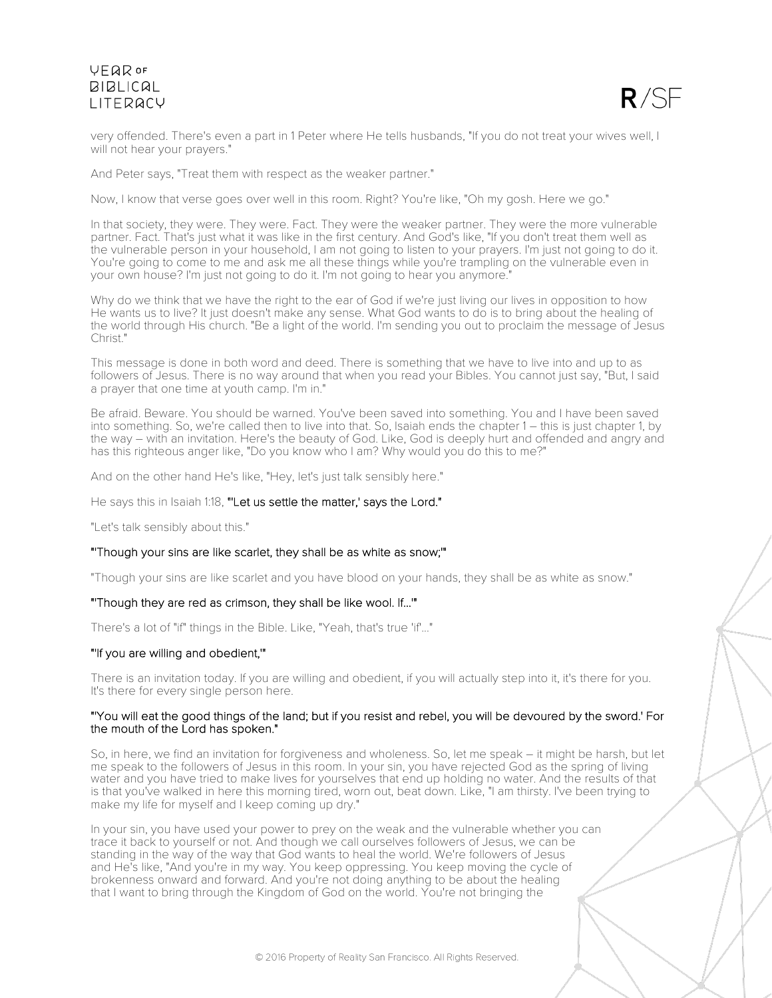$R/SE$ 

very offended. There's even a part in 1 Peter where He tells husbands, "If you do not treat your wives well, I will not hear your prayers."

And Peter says, "Treat them with respect as the weaker partner."

Now, I know that verse goes over well in this room. Right? You're like, "Oh my gosh. Here we go."

In that society, they were. They were. Fact. They were the weaker partner. They were the more vulnerable partner. Fact. That's just what it was like in the first century. And God's like, "If you don't treat them well as the vulnerable person in your household, I am not going to listen to your prayers. I'm just not going to do it. You're going to come to me and ask me all these things while you're trampling on the vulnerable even in your own house? I'm just not going to do it. I'm not going to hear you anymore."

Why do we think that we have the right to the ear of God if we're just living our lives in opposition to how He wants us to live? It just doesn't make any sense. What God wants to do is to bring about the healing of the world through His church. "Be a light of the world. I'm sending you out to proclaim the message of Jesus Christ."

This message is done in both word and deed. There is something that we have to live into and up to as followers of Jesus. There is no way around that when you read your Bibles. You cannot just say, "But, I said a prayer that one time at youth camp. I'm in."

Be afraid. Beware. You should be warned. You've been saved into something. You and I have been saved into something. So, we're called then to live into that. So, Isaiah ends the chapter 1 – this is just chapter 1, by the way – with an invitation. Here's the beauty of God. Like, God is deeply hurt and offended and angry and has this righteous anger like, "Do you know who I am? Why would you do this to me?"

And on the other hand He's like, "Hey, let's just talk sensibly here."

He says this in Isaiah 1:18, "Let us settle the matter,' says the Lord."

"Let's talk sensibly about this."

"'Though your sins are like scarlet, they shall be as white as snow;'"

"Though your sins are like scarlet and you have blood on your hands, they shall be as white as snow."

#### "'Though they are red as crimson, they shall be like wool. If...'"

There's a lot of "if" things in the Bible. Like, "Yeah, that's true 'if..."

#### "'If you are willing and obedient,'"

There is an invitation today. If you are willing and obedient, if you will actually step into it, it's there for you. It's there for every single person here.

#### "'You will eat the good things of the land; but if you resist and rebel, you will be devoured by the sword.' For the mouth of the Lord has spoken."

So, in here, we find an invitation for forgiveness and wholeness. So, let me speak – it might be harsh, but let me speak to the followers of Jesus in this room. In your sin, you have rejected God as the spring of living water and you have tried to make lives for yourselves that end up holding no water. And the results of that is that you've walked in here this morning tired, worn out, beat down. Like, "I am thirsty. I've been trying to make my life for myself and I keep coming up dry."

In your sin, you have used your power to prey on the weak and the vulnerable whether you can trace it back to yourself or not. And though we call ourselves followers of Jesus, we can be standing in the way of the way that God wants to heal the world. We're followers of Jesus and He's like, "And you're in my way. You keep oppressing. You keep moving the cycle of brokenness onward and forward. And you're not doing anything to be about the healing that I want to bring through the Kingdom of God on the world. You're not bringing the